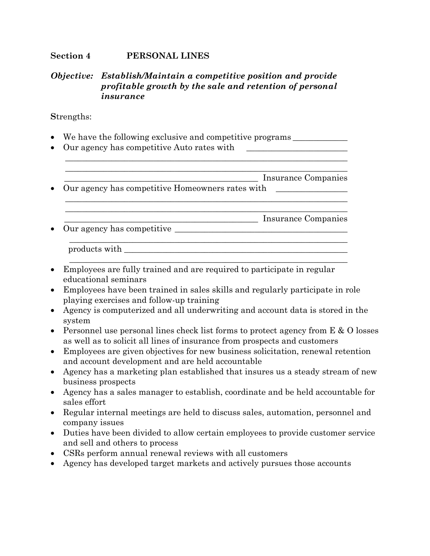#### *Objective: Establish/Maintain a competitive position and provide profitable growth by the sale and retention of personal insurance*

**S**trengths:

- We have the following exclusive and competitive programs
- Our agency has competitive Auto rates with

 $\overline{\phantom{a}}$  ,  $\overline{\phantom{a}}$  ,  $\overline{\phantom{a}}$  ,  $\overline{\phantom{a}}$  ,  $\overline{\phantom{a}}$  ,  $\overline{\phantom{a}}$  ,  $\overline{\phantom{a}}$  ,  $\overline{\phantom{a}}$  ,  $\overline{\phantom{a}}$  ,  $\overline{\phantom{a}}$  ,  $\overline{\phantom{a}}$  ,  $\overline{\phantom{a}}$  ,  $\overline{\phantom{a}}$  ,  $\overline{\phantom{a}}$  ,  $\overline{\phantom{a}}$  ,  $\overline{\phantom{a}}$  \_\_\_\_\_\_\_\_\_\_\_\_\_\_\_\_\_\_\_\_\_\_\_\_\_\_\_\_\_\_\_\_\_\_\_\_\_\_\_\_\_\_\_\_\_\_ Insurance Companies • Our agency has competitive Homeowners rates with  $\overline{\phantom{a}}$  , and the contribution of the contribution of the contribution of the contribution of the contribution of the contribution of the contribution of the contribution of the contribution of the contribution of the  $\overline{\phantom{a}}$  , and the contribution of the contribution of the contribution of the contribution of the contribution of the contribution of the contribution of the contribution of the contribution of the contribution of the \_\_\_\_\_\_\_\_\_\_\_\_\_\_\_\_\_\_\_\_\_\_\_\_\_\_\_\_\_\_\_\_\_\_\_\_\_\_\_\_\_\_\_\_\_\_ Insurance Companies • Our agency has competitive  $\overline{\phantom{a}}$  , and the contribution of the contribution of the contribution of the contribution of the contribution of the contribution of the contribution of the contribution of the contribution of the contribution of the products with \_\_\_\_\_\_\_\_\_\_\_\_\_\_\_\_\_\_\_\_\_\_\_\_\_\_\_\_\_\_\_\_\_\_\_\_\_\_\_\_\_\_\_\_\_\_\_\_\_\_\_\_\_  $\mathcal{L} = \{ \mathcal{L} = \{ \mathcal{L} \} \cup \{ \mathcal{L} \} \cup \{ \mathcal{L} \} \cup \{ \mathcal{L} \} \cup \{ \mathcal{L} \} \cup \{ \mathcal{L} \} \cup \{ \mathcal{L} \} \cup \{ \mathcal{L} \} \cup \{ \mathcal{L} \} \cup \{ \mathcal{L} \} \cup \{ \mathcal{L} \} \cup \{ \mathcal{L} \} \cup \{ \mathcal{L} \} \cup \{ \mathcal{L} \} \cup \{ \mathcal{L} \} \cup \{ \mathcal{L} \} \cup \{ \mathcal{L} \} \cup$ 

 $\overline{\phantom{a}}$  ,  $\overline{\phantom{a}}$  ,  $\overline{\phantom{a}}$  ,  $\overline{\phantom{a}}$  ,  $\overline{\phantom{a}}$  ,  $\overline{\phantom{a}}$  ,  $\overline{\phantom{a}}$  ,  $\overline{\phantom{a}}$  ,  $\overline{\phantom{a}}$  ,  $\overline{\phantom{a}}$  ,  $\overline{\phantom{a}}$  ,  $\overline{\phantom{a}}$  ,  $\overline{\phantom{a}}$  ,  $\overline{\phantom{a}}$  ,  $\overline{\phantom{a}}$  ,  $\overline{\phantom{a}}$ 

- Employees are fully trained and are required to participate in regular educational seminars
- Employees have been trained in sales skills and regularly participate in role playing exercises and follow-up training
- Agency is computerized and all underwriting and account data is stored in the system
- Personnel use personal lines check list forms to protect agency from  $E \& O$  losses as well as to solicit all lines of insurance from prospects and customers
- Employees are given objectives for new business solicitation, renewal retention and account development and are held accountable
- Agency has a marketing plan established that insures us a steady stream of new business prospects
- Agency has a sales manager to establish, coordinate and be held accountable for sales effort
- Regular internal meetings are held to discuss sales, automation, personnel and company issues
- Duties have been divided to allow certain employees to provide customer service and sell and others to process
- CSRs perform annual renewal reviews with all customers
- Agency has developed target markets and actively pursues those accounts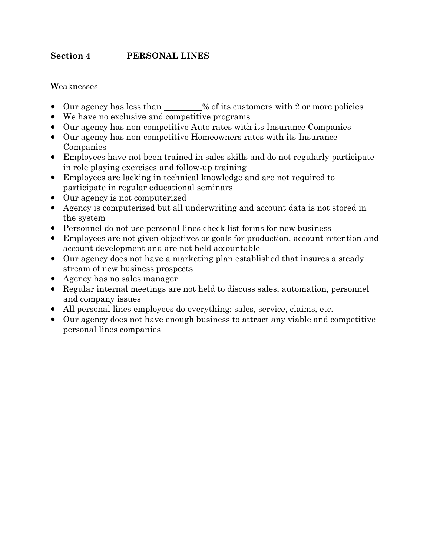### **W**eaknesses

- Our agency has less than \_\_\_\_\_\_% of its customers with 2 or more policies
- We have no exclusive and competitive programs
- Our agency has non-competitive Auto rates with its Insurance Companies
- Our agency has non-competitive Homeowners rates with its Insurance Companies
- Employees have not been trained in sales skills and do not regularly participate in role playing exercises and follow-up training
- Employees are lacking in technical knowledge and are not required to participate in regular educational seminars
- Our agency is not computerized
- Agency is computerized but all underwriting and account data is not stored in the system
- Personnel do not use personal lines check list forms for new business
- Employees are not given objectives or goals for production, account retention and account development and are not held accountable
- Our agency does not have a marketing plan established that insures a steady stream of new business prospects
- Agency has no sales manager
- Regular internal meetings are not held to discuss sales, automation, personnel and company issues
- All personal lines employees do everything: sales, service, claims, etc.
- Our agency does not have enough business to attract any viable and competitive personal lines companies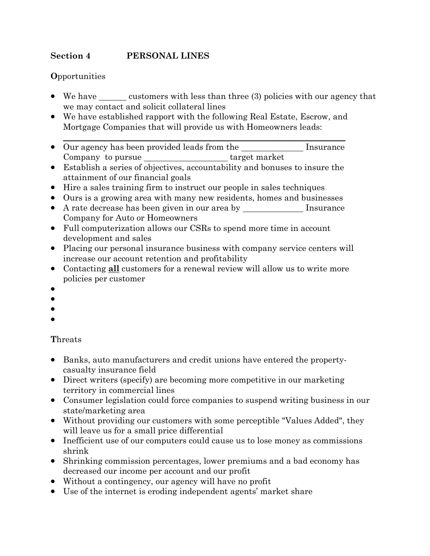## **O**pportunities

- We have  $\frac{1}{\sqrt{1-\frac{1}{\sqrt{1-\frac{1}{\sqrt{1-\frac{1}{\sqrt{1-\frac{1}{\sqrt{1-\frac{1}{\sqrt{1-\frac{1}{\sqrt{1-\frac{1}{\sqrt{1-\frac{1}{\sqrt{1-\frac{1}{\sqrt{1-\frac{1}{\sqrt{1-\frac{1}{\sqrt{1-\frac{1}{\sqrt{1-\frac{1}{\sqrt{1-\frac{1}{\sqrt{1-\frac{1}{\sqrt{1-\frac{1}{\sqrt{1-\frac{1}{\sqrt{1-\frac{1}{\sqrt{1-\frac{1}{\sqrt{1-\frac{1}{\sqrt{1-\frac{1}{\sqrt{1-\frac{1}{\sqrt{1-\frac{$ we may contact and solicit collateral lines
- We have established rapport with the following Real Estate, Escrow, and Mortgage Companies that will provide us with Homeowners leads:
- $\overline{\phantom{a}}$  ,  $\overline{\phantom{a}}$  ,  $\overline{\phantom{a}}$  ,  $\overline{\phantom{a}}$  ,  $\overline{\phantom{a}}$  ,  $\overline{\phantom{a}}$  ,  $\overline{\phantom{a}}$  ,  $\overline{\phantom{a}}$  ,  $\overline{\phantom{a}}$  ,  $\overline{\phantom{a}}$  ,  $\overline{\phantom{a}}$  ,  $\overline{\phantom{a}}$  ,  $\overline{\phantom{a}}$  ,  $\overline{\phantom{a}}$  ,  $\overline{\phantom{a}}$  ,  $\overline{\phantom{a}}$ • Our agency has been provided leads from the Insurance Company to pursue target market
- Establish a series of objectives, accountability and bonuses to insure the attainment of our financial goals
- Hire a sales training firm to instruct our people in sales techniques
- Ours is a growing area with many new residents, homes and businesses
- A rate decrease has been given in our area by \_\_\_\_\_\_\_\_\_\_\_\_\_\_\_\_\_ Insurance Company for Auto or Homeowners
- Full computerization allows our CSRs to spend more time in account development and sales
- Placing our personal insurance business with company service centers will increase our account retention and profitability
- Contacting **all** customers for a renewal review will allow us to write more policies per customer
- •
- •
- •
- •

# **T**hreats

- Banks, auto manufacturers and credit unions have entered the propertycasualty insurance field
- Direct writers (specify) are becoming more competitive in our marketing territory in commercial lines
- Consumer legislation could force companies to suspend writing business in our state/marketing area
- Without providing our customers with some perceptible "Values Added", they will leave us for a small price differential
- Inefficient use of our computers could cause us to lose money as commissions shrink
- Shrinking commission percentages, lower premiums and a bad economy has decreased our income per account and our profit
- Without a contingency, our agency will have no profit
- Use of the internet is eroding independent agents' market share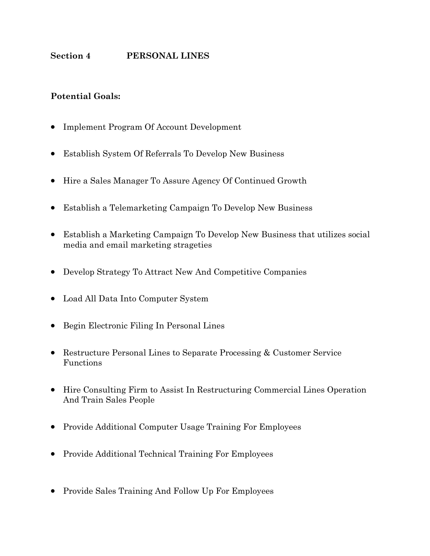## **Potential Goals:**

- Implement Program Of Account Development
- Establish System Of Referrals To Develop New Business
- Hire a Sales Manager To Assure Agency Of Continued Growth
- Establish a Telemarketing Campaign To Develop New Business
- Establish a Marketing Campaign To Develop New Business that utilizes social media and email marketing strageties
- Develop Strategy To Attract New And Competitive Companies
- Load All Data Into Computer System
- Begin Electronic Filing In Personal Lines
- Restructure Personal Lines to Separate Processing & Customer Service Functions
- Hire Consulting Firm to Assist In Restructuring Commercial Lines Operation And Train Sales People
- Provide Additional Computer Usage Training For Employees
- Provide Additional Technical Training For Employees
- Provide Sales Training And Follow Up For Employees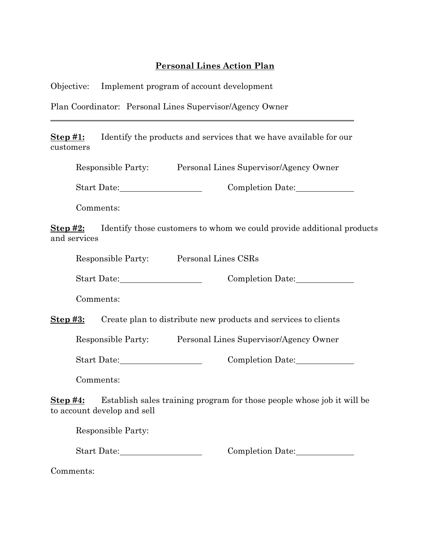### **Personal Lines Action Plan**

Objective: Implement program of account development

Plan Coordinator: Personal Lines Supervisor/Agency Owner

**Step #1:** Identify the products and services that we have available for our customers

|  | Responsible Party: | Personal Lines Supervisor/Agency Owner |
|--|--------------------|----------------------------------------|
|--|--------------------|----------------------------------------|

Start Date: Completion Date:

Comments:

**Step #2:** Identify those customers to whom we could provide additional products and services

Responsible Party: Personal Lines CSRs

Start Date: Completion Date:

Comments:

**Step #3:** Create plan to distribute new products and services to clients

Responsible Party: Personal Lines Supervisor/Agency Owner

Start Date: Completion Date:

Comments:

**Step #4:** Establish sales training program for those people whose job it will be to account develop and sell

Responsible Party:

Start Date: Completion Date:

Comments: